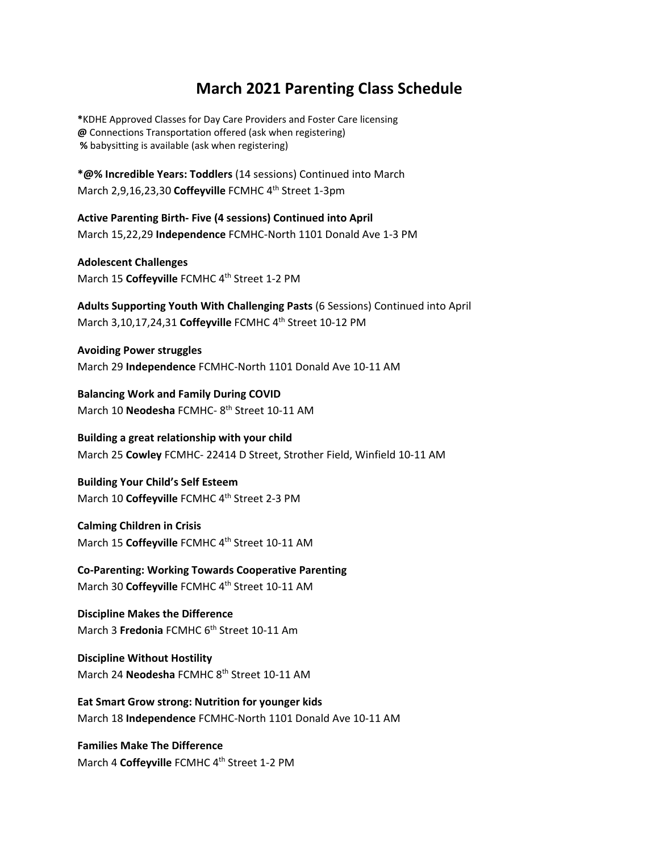## **March 2021 Parenting Class Schedule**

**\***KDHE Approved Classes for Day Care Providers and Foster Care licensing **@** Connections Transportation offered (ask when registering) **%** babysitting is available (ask when registering)

**\*@% Incredible Years: Toddlers** (14 sessions) Continued into March March 2,9,16,23,30 Coffeyville FCMHC 4<sup>th</sup> Street 1-3pm

**Active Parenting Birth‐ Five (4 sessions) Continued into April** March 15,22,29 **Independence** FCMHC‐North 1101 Donald Ave 1‐3 PM

**Adolescent Challenges** March 15 Coffeyville FCMHC 4<sup>th</sup> Street 1-2 PM

**Adults Supporting Youth With Challenging Pasts** (6 Sessions) Continued into April March 3,10,17,24,31 **Coffeyville** FCMHC 4th Street 10‐12 PM

**Avoiding Power struggles** March 29 **Independence** FCMHC‐North 1101 Donald Ave 10‐11 AM

**Balancing Work and Family During COVID** March 10 **Neodesha** FCMHC‐ 8th Street 10‐11 AM

**Building a great relationship with your child** March 25 **Cowley** FCMHC‐ 22414 D Street, Strother Field, Winfield 10‐11 AM

**Building Your Child's Self Esteem** March 10 Coffeyville FCMHC 4<sup>th</sup> Street 2-3 PM

**Calming Children in Crisis** March 15 **Coffeyville** FCMHC 4th Street 10‐11 AM

**Co‐Parenting: Working Towards Cooperative Parenting** March 30 Coffeyville FCMHC 4<sup>th</sup> Street 10-11 AM

**Discipline Makes the Difference** March 3 **Fredonia** FCMHC 6<sup>th</sup> Street 10-11 Am

**Discipline Without Hostility** March 24 **Neodesha** FCMHC 8th Street 10‐11 AM

**Eat Smart Grow strong: Nutrition for younger kids** March 18 **Independence** FCMHC‐North 1101 Donald Ave 10‐11 AM

**Families Make The Difference** March 4 Coffeyville FCMHC 4<sup>th</sup> Street 1-2 PM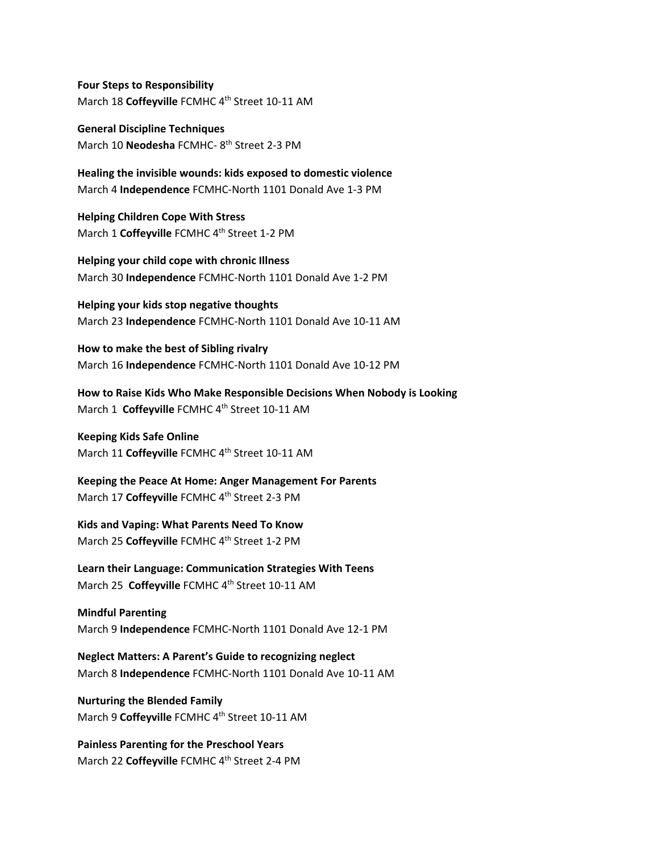**Four Steps to Responsibility** March 18 **Coffeyville** FCMHC 4th Street 10‐11 AM

**General Discipline Techniques** March 10 **Neodesha** FCMHC‐ 8th Street 2‐3 PM

**Healing the invisible wounds: kids exposed to domestic violence** March 4 **Independence** FCMHC‐North 1101 Donald Ave 1‐3 PM

**Helping Children Cope With Stress** March 1 **Coffeyville** FCMHC 4<sup>th</sup> Street 1-2 PM

**Helping your child cope with chronic Illness** March 30 **Independence** FCMHC‐North 1101 Donald Ave 1‐2 PM

**Helping your kids stop negative thoughts** March 23 **Independence** FCMHC‐North 1101 Donald Ave 10‐11 AM

**How to make the best of Sibling rivalry** March 16 **Independence** FCMHC‐North 1101 Donald Ave 10‐12 PM

**How to Raise Kids Who Make Responsible Decisions When Nobody is Looking** March 1 **Coffeyville** FCMHC 4th Street 10‐11 AM

**Keeping Kids Safe Online** March 11 **Coffeyville** FCMHC 4th Street 10‐11 AM

**Keeping the Peace At Home: Anger Management For Parents** March 17 Coffeyville FCMHC 4<sup>th</sup> Street 2-3 PM

**Kids and Vaping: What Parents Need To Know** March 25 **Coffeyville** FCMHC 4<sup>th</sup> Street 1-2 PM

**Learn their Language: Communication Strategies With Teens** March 25 **Coffeyville** FCMHC 4th Street 10‐11 AM

**Mindful Parenting** March 9 **Independence** FCMHC‐North 1101 Donald Ave 12‐1 PM

**Neglect Matters: A Parent's Guide to recognizing neglect** March 8 **Independence** FCMHC‐North 1101 Donald Ave 10‐11 AM

**Nurturing the Blended Family** March 9 Coffeyville FCMHC 4<sup>th</sup> Street 10-11 AM

**Painless Parenting for the Preschool Years** March 22 Coffeyville FCMHC 4<sup>th</sup> Street 2-4 PM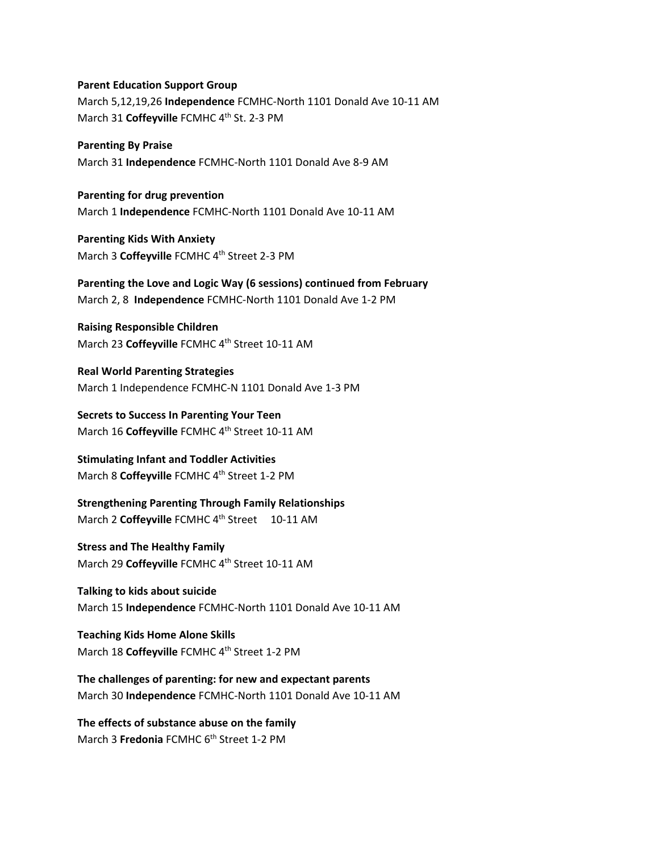## **Parent Education Support Group**

March 5,12,19,26 **Independence** FCMHC‐North 1101 Donald Ave 10‐11 AM March 31 Coffeyville FCMHC 4<sup>th</sup> St. 2-3 PM

**Parenting By Praise** March 31 **Independence** FCMHC‐North 1101 Donald Ave 8‐9 AM

**Parenting for drug prevention** March 1 **Independence** FCMHC‐North 1101 Donald Ave 10‐11 AM

**Parenting Kids With Anxiety** March 3 Coffeyville FCMHC 4<sup>th</sup> Street 2-3 PM

**Parenting the Love and Logic Way (6 sessions) continued from February** March 2, 8 **Independence** FCMHC‐North 1101 Donald Ave 1‐2 PM

**Raising Responsible Children** March 23 **Coffeyville** FCMHC 4th Street 10‐11 AM

**Real World Parenting Strategies** March 1 Independence FCMHC‐N 1101 Donald Ave 1‐3 PM

**Secrets to Success In Parenting Your Teen** March 16 Coffeyville FCMHC 4<sup>th</sup> Street 10-11 AM

**Stimulating Infant and Toddler Activities** March 8 Coffeyville FCMHC 4<sup>th</sup> Street 1-2 PM

**Strengthening Parenting Through Family Relationships** March 2 **Coffeyville** FCMHC 4th Street 10‐11 AM

**Stress and The Healthy Family** March 29 **Coffeyville** FCMHC 4th Street 10‐11 AM

**Talking to kids about suicide** March 15 **Independence** FCMHC‐North 1101 Donald Ave 10‐11 AM

**Teaching Kids Home Alone Skills** March 18 Coffeyville FCMHC 4<sup>th</sup> Street 1-2 PM

**The challenges of parenting: for new and expectant parents** March 30 **Independence** FCMHC‐North 1101 Donald Ave 10‐11 AM

**The effects of substance abuse on the family** March 3 **Fredonia** FCMHC 6<sup>th</sup> Street 1-2 PM